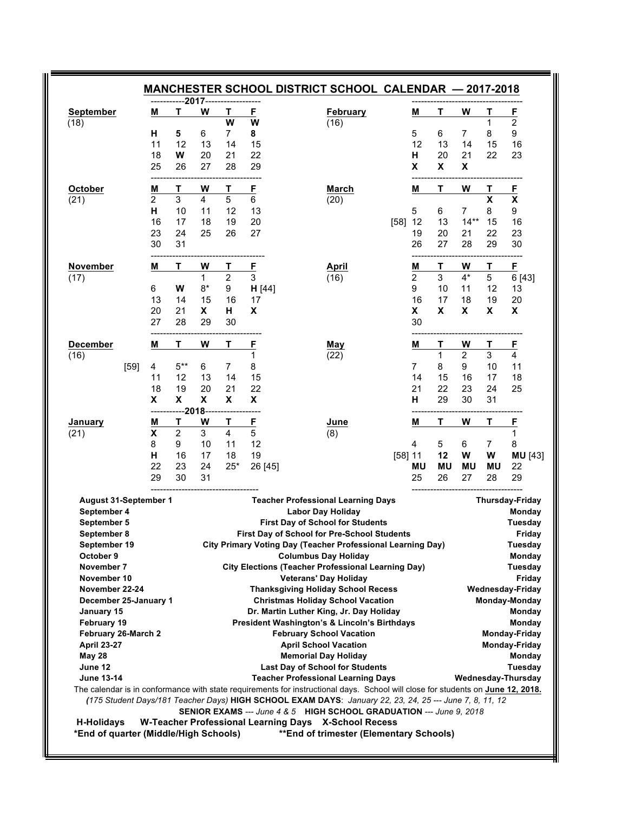| <b>September</b>                                                          |      | M  | ------------2017--- <sup>-</sup><br>Т | W                                                                    | Τ                         | E            | <b>February</b>                                                                                                                                                                                                                            | м              | т         | W         | Т                         | E                                                     |
|---------------------------------------------------------------------------|------|----|---------------------------------------|----------------------------------------------------------------------|---------------------------|--------------|--------------------------------------------------------------------------------------------------------------------------------------------------------------------------------------------------------------------------------------------|----------------|-----------|-----------|---------------------------|-------------------------------------------------------|
| (18)                                                                      |      |    |                                       |                                                                      | W                         | W            | (16)                                                                                                                                                                                                                                       |                |           |           | 1                         | $\overline{2}$                                        |
|                                                                           |      | н  | 5                                     | 6                                                                    | 7                         | 8            |                                                                                                                                                                                                                                            | 5              | 6         | 7         | 8                         | 9                                                     |
|                                                                           |      | 11 | 12                                    | 13                                                                   | 14                        | 15           |                                                                                                                                                                                                                                            | 12             | 13        | 14        | 15                        | 16                                                    |
|                                                                           |      | 18 | W                                     | 20                                                                   | 21                        | 22           |                                                                                                                                                                                                                                            | Н              | 20        | 21        | 22                        | 23                                                    |
|                                                                           |      | 25 | 26                                    | 27                                                                   | 28                        | 29           |                                                                                                                                                                                                                                            | X              | X         | X         |                           |                                                       |
| October                                                                   |      | M  | Т                                     | W                                                                    | Т                         | E            | <b>March</b>                                                                                                                                                                                                                               | M              | T         | W         | т                         | E                                                     |
| (21)                                                                      |      | 2  | 3                                     | 4                                                                    | 5                         | 6            | (20)                                                                                                                                                                                                                                       |                |           |           | $\boldsymbol{\mathsf{x}}$ | $\pmb{\mathsf{X}}$                                    |
|                                                                           |      | н  | 10                                    | 11                                                                   | 12                        | 13           |                                                                                                                                                                                                                                            | 5              | 6         | 7         | 8                         | 9                                                     |
|                                                                           |      | 16 | 17                                    | 18                                                                   | 19                        | 20           | [58]                                                                                                                                                                                                                                       | 12             | 13        | $14**$    | 15                        | 16                                                    |
|                                                                           |      | 23 | 24                                    | 25                                                                   | 26                        | 27           |                                                                                                                                                                                                                                            | 19             | 20        | 21        | 22                        | 23                                                    |
|                                                                           |      | 30 | 31                                    |                                                                      |                           |              |                                                                                                                                                                                                                                            | 26             | 27        | 28        | 29                        | 30                                                    |
| November                                                                  |      | M  | Т                                     | W                                                                    | Т                         | $\mathbf{F}$ | <b>April</b>                                                                                                                                                                                                                               | M              | Т         | W         | Т                         | F                                                     |
| (17)                                                                      |      |    |                                       | $\mathbf{1}$                                                         | $\overline{c}$            | 3            | (16)                                                                                                                                                                                                                                       | $\overline{2}$ | 3         | $4^*$     | 5                         | 6 [43]                                                |
|                                                                           |      | 6  | W                                     | $8*$                                                                 | 9                         | H [44]       |                                                                                                                                                                                                                                            | 9              | 10        | 11        | 12                        | 13                                                    |
|                                                                           |      | 13 | 14                                    | 15                                                                   | 16                        | 17           |                                                                                                                                                                                                                                            | 16             | 17        | 18        | 19                        | 20                                                    |
|                                                                           |      | 20 | 21                                    | X                                                                    | н                         | X            |                                                                                                                                                                                                                                            | X              | X         | X         | X                         | X                                                     |
|                                                                           |      | 27 | 28                                    | 29                                                                   | 30                        |              |                                                                                                                                                                                                                                            | 30             |           |           |                           |                                                       |
| <b>December</b>                                                           |      | M  | Т                                     | W                                                                    | Т                         | F            | May                                                                                                                                                                                                                                        | Μ              | Τ         | W         | Τ                         | <u>F</u>                                              |
| (16)                                                                      |      |    |                                       |                                                                      |                           | 1            | (22)                                                                                                                                                                                                                                       |                | 1         | 2         | 3                         | 4                                                     |
|                                                                           | [59] | 4  | $5***$                                | 6                                                                    | $\overline{7}$            | 8            |                                                                                                                                                                                                                                            | 7              | 8         | 9         | 10                        | 11                                                    |
|                                                                           |      | 11 | 12                                    | 13                                                                   | 14                        | 15           |                                                                                                                                                                                                                                            | 14             | 15        | 16        | 17                        | 18                                                    |
|                                                                           |      | 18 | 19                                    | 20                                                                   | 21                        | 22           |                                                                                                                                                                                                                                            | 21             | 22        | 23        | 24                        | 25                                                    |
|                                                                           |      | X  | X                                     | $\boldsymbol{\mathsf{x}}$                                            | $\boldsymbol{\mathsf{X}}$ | X            |                                                                                                                                                                                                                                            | н              | 29        | 30        | 31                        |                                                       |
| January                                                                   |      | M  | $---2018$<br>Τ                        | W                                                                    | Τ                         | <u>F</u>     | June                                                                                                                                                                                                                                       | Μ              | т         | W         | т                         | E                                                     |
| (21)                                                                      |      | X  | $\overline{2}$                        | 3                                                                    | 4                         | 5            | (8)                                                                                                                                                                                                                                        |                |           |           |                           | $\mathbf{1}$                                          |
|                                                                           |      | 8  | 9                                     | 10                                                                   | 11                        | 12           |                                                                                                                                                                                                                                            | 4              | 5         | 6         | $\overline{7}$            | 8                                                     |
|                                                                           |      | н  | 16                                    | 17                                                                   | 18                        | 19           |                                                                                                                                                                                                                                            | [58] 11        | 12        | W         | W                         | <b>MU</b> [43]                                        |
|                                                                           |      | 22 | 23                                    | 24                                                                   | $25*$                     | 26 [45]      |                                                                                                                                                                                                                                            | ΜU             | <b>MU</b> | <b>MU</b> | MU                        | 22                                                    |
|                                                                           |      | 29 | 30                                    | 31                                                                   |                           |              |                                                                                                                                                                                                                                            | 25             | 26        | 27        | 28                        | 29                                                    |
| <b>August 31-September 1</b><br>September 4<br>September 5<br>September 8 |      |    |                                       |                                                                      |                           |              | <b>Teacher Professional Learning Days</b><br><b>Labor Day Holiday</b><br><b>First Day of School for Students</b><br>First Day of School for Pre-School Students                                                                            |                |           |           |                           | <b>Thursday-Friday</b><br>Monday<br>Tuesday<br>Friday |
| September 19                                                              |      |    |                                       |                                                                      |                           |              | <b>City Primary Voting Day (Teacher Professional Learning Day)</b>                                                                                                                                                                         |                |           |           |                           | Tuesday                                               |
| October 9                                                                 |      |    |                                       |                                                                      |                           |              | <b>Columbus Day Holiday</b>                                                                                                                                                                                                                |                |           |           |                           | Monday                                                |
| November 7                                                                |      |    |                                       |                                                                      |                           |              | <b>City Elections (Teacher Professional Learning Day)</b>                                                                                                                                                                                  |                |           |           |                           | Tuesday                                               |
| November 10                                                               |      |    |                                       |                                                                      |                           |              | <b>Veterans' Day Holiday</b>                                                                                                                                                                                                               |                |           |           |                           | Friday                                                |
| November 22-24                                                            |      |    |                                       | <b>Thanksgiving Holiday School Recess</b><br><b>Wednesday-Friday</b> |                           |              |                                                                                                                                                                                                                                            |                |           |           |                           |                                                       |
| December 25-January 1                                                     |      |    |                                       |                                                                      |                           |              | <b>Christmas Holiday School Vacation</b>                                                                                                                                                                                                   |                |           |           |                           | Monday-Monday                                         |
| January 15                                                                |      |    |                                       |                                                                      |                           |              | Dr. Martin Luther King, Jr. Day Holiday                                                                                                                                                                                                    |                |           |           |                           | Monday                                                |
| February 19                                                               |      |    |                                       |                                                                      |                           |              | <b>President Washington's &amp; Lincoln's Birthdays</b>                                                                                                                                                                                    |                |           |           |                           | Monday                                                |
| February 26-March 2                                                       |      |    |                                       |                                                                      |                           |              | <b>February School Vacation</b>                                                                                                                                                                                                            |                |           |           |                           | <b>Monday-Friday</b>                                  |
| <b>April 23-27</b>                                                        |      |    |                                       |                                                                      |                           |              | <b>April School Vacation</b>                                                                                                                                                                                                               |                |           |           |                           | <b>Monday-Friday</b>                                  |
| <b>May 28</b>                                                             |      |    |                                       |                                                                      |                           |              | <b>Memorial Day Holiday</b>                                                                                                                                                                                                                |                |           |           |                           | Monday                                                |
| June 12                                                                   |      |    |                                       |                                                                      |                           |              | <b>Last Day of School for Students</b>                                                                                                                                                                                                     |                |           |           |                           | Tuesday                                               |
| <b>June 13-14</b>                                                         |      |    |                                       |                                                                      |                           |              | <b>Teacher Professional Learning Days</b>                                                                                                                                                                                                  |                |           |           |                           | Wednesday-Thursday                                    |
|                                                                           |      |    |                                       |                                                                      |                           |              | The calendar is in conformance with state requirements for instructional days. School will close for students on June 12, 2018.<br>(175 Student Days/181 Teacher Days) HIGH SCHOOL EXAM DAYS: January 22, 23, 24, 25 --- June 7, 8, 11, 12 |                |           |           |                           |                                                       |
|                                                                           |      |    |                                       |                                                                      |                           |              |                                                                                                                                                                                                                                            |                |           |           |                           |                                                       |